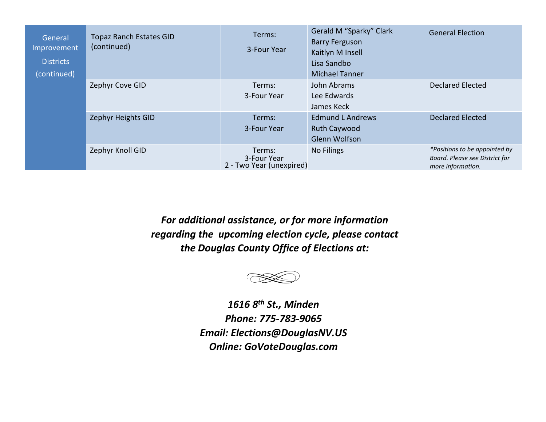| General<br>Improvement<br><b>Districts</b><br>(continued) | <b>Topaz Ranch Estates GID</b><br>(continued) | Terms:<br>3-Four Year                             | Gerald M "Sparky" Clark<br><b>Barry Ferguson</b><br>Kaitlyn M Insell<br>Lisa Sandbo<br><b>Michael Tanner</b> | <b>General Election</b>                                                              |
|-----------------------------------------------------------|-----------------------------------------------|---------------------------------------------------|--------------------------------------------------------------------------------------------------------------|--------------------------------------------------------------------------------------|
|                                                           | Zephyr Cove GID                               | Terms:<br>3-Four Year                             | John Abrams<br>Lee Edwards<br>James Keck                                                                     | <b>Declared Elected</b>                                                              |
|                                                           | Zephyr Heights GID                            | Terms:<br>3-Four Year                             | <b>Edmund L Andrews</b><br>Ruth Caywood<br><b>Glenn Wolfson</b>                                              | <b>Declared Elected</b>                                                              |
|                                                           | Zephyr Knoll GID                              | Terms:<br>3-Four Year<br>2 - Two Year (unexpired) | <b>No Filings</b>                                                                                            | *Positions to be appointed by<br>Board. Please see District for<br>more information. |

*For additional assistance, or for more information regarding the upcoming election cycle, please contact the Douglas County Office of Elections at:* 



*1616 8th St., Minden Phone: 775-783-6095 Email: Elections@DouglasNV.US Online: GoVoteDouglas.com*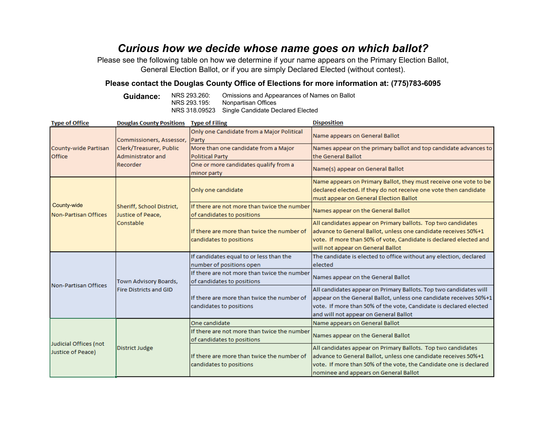## *Curious how we decide whose name goes on which ballot?*

Please see the following table on how we determine if your name appears on the Primary Election Ballot, General Election Ballot, or if you are simply Declared Elected (without contest).

### **Please contact the Douglas County Office of Elections for more information at: (775)783-6095**

**Guidance:** NRS 293.260: Omissions and Appearances of Names on Ballot NRS 293.195: Nonpartisan Offices Nonpartisan Offices NRS 318.09523 Single Candidate Declared Elected

| <b>Type of Office</b>          | <b>Douglas County Positions</b>                                                      | <b>Type of Filing</b>                              | <b>Disposition</b>                                                |  |
|--------------------------------|--------------------------------------------------------------------------------------|----------------------------------------------------|-------------------------------------------------------------------|--|
| County-wide Partisan<br>Office | Commissioners, Assessor,<br>Clerk/Treasurer, Public<br>Administrator and<br>Recorder | Only one Candidate from a Major Political<br>Party | Name appears on General Ballot                                    |  |
|                                |                                                                                      | More than one candidate from a Major               | Names appear on the primary ballot and top candidate advances to  |  |
|                                |                                                                                      | <b>Political Party</b>                             | the General Ballot                                                |  |
|                                |                                                                                      | One or more candidates qualify from a              | Name(s) appear on General Ballot                                  |  |
|                                |                                                                                      | minor party                                        |                                                                   |  |
|                                | Sheriff, School District,<br>Justice of Peace,<br>Constable                          | Only one candidate                                 | Name appears on Primary Ballot, they must receive one vote to be  |  |
|                                |                                                                                      |                                                    | declared elected. If they do not receive one vote then candidate  |  |
|                                |                                                                                      |                                                    | must appear on General Election Ballot                            |  |
| County-wide                    |                                                                                      | If there are not more than twice the number        | Names appear on the General Ballot                                |  |
| Non-Partisan Offices           |                                                                                      | of candidates to positions                         |                                                                   |  |
|                                |                                                                                      |                                                    | All candidates appear on Primary ballots. Top two candidates      |  |
|                                |                                                                                      | If there are more than twice the number of         | advance to General Ballot, unless one candidate receives 50%+1    |  |
|                                |                                                                                      | candidates to positions                            | vote. If more than 50% of vote, Candidate is declared elected and |  |
|                                |                                                                                      |                                                    | will not appear on General Ballot                                 |  |
|                                | Town Advisory Boards,<br>Fire Districts and GID                                      | If candidates equal to or less than the            | The candidate is elected to office without any election, declared |  |
|                                |                                                                                      | number of positions open                           | elected                                                           |  |
|                                |                                                                                      | If there are not more than twice the number        | Names appear on the General Ballot                                |  |
| <b>Non-Partisan Offices</b>    |                                                                                      | of candidates to positions                         |                                                                   |  |
|                                |                                                                                      |                                                    | All candidates appear on Primary Ballots. Top two candidates will |  |
|                                |                                                                                      | If there are more than twice the number of         | appear on the General Ballot, unless one candidate receives 50%+1 |  |
|                                |                                                                                      | candidates to positions                            | vote. If more than 50% of the vote, Candidate is declared elected |  |
|                                |                                                                                      |                                                    | and will not appear on General Ballot                             |  |
|                                | District Judge                                                                       | One candidate                                      | Name appears on General Ballot                                    |  |
|                                |                                                                                      | If there are not more than twice the number        | Names appear on the General Ballot                                |  |
| Judicial Offices (not          |                                                                                      | of candidates to positions                         |                                                                   |  |
| Justice of Peace)              |                                                                                      |                                                    | All candidates appear on Primary Ballots. Top two candidates      |  |
|                                |                                                                                      | If there are more than twice the number of         | advance to General Ballot, unless one candidate receives 50%+1    |  |
|                                |                                                                                      | candidates to positions                            | vote. If more than 50% of the vote, the Candidate one is declared |  |
|                                |                                                                                      |                                                    | nominee and appears on General Ballot                             |  |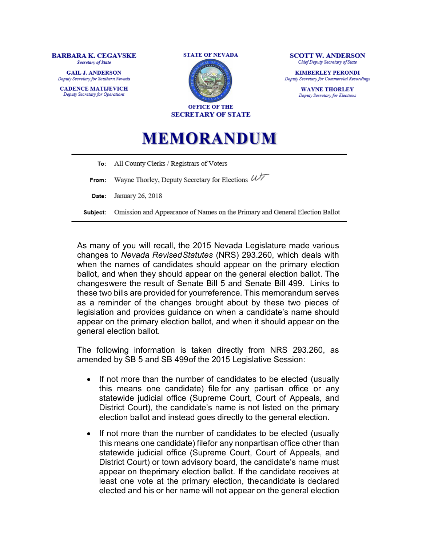#### **BARBARA K. CEGAVSKE** Secretary of State

**GAIL J. ANDERSON** Deputy Secretary for Southern Nevada

**CADENCE MATIJEVICH** Deputy Secretary for Operations





**SCOTT W. ANDERSON** Chief Deputy Secretary of State

**KIMBERLEY PERONDI** Deputy Secretary for Commercial Recordings

> **WAYNE THORLEY** Deputy Secretary for Elections

# **MEMORANDUM**

All County Clerks / Registrars of Voters To: Wayne Thorley, Deputy Secretary for Elections  $\mathcal{U}\overleftarrow{\mathcal{T}}$ From: Date: January 26, 2018 Subject: Omission and Appearance of Names on the Primary and General Election Ballot

As many of you will recall, the 2015 Nevada Legislature made various changes to *Nevada Revised Statutes* (NRS) 293.260, which deals with when the names of candidates should appear on the primary election ballot, and when they should appear on the general election ballot. The changeswere the result of [Senate Bill 5 a](https://www.leg.state.nv.us/Session/78th2015/Reports/history.cfm?DocumentType=2&BillNo=5)nd [Senate Bill 499.](https://www.leg.state.nv.us/Session/78th2015/Reports/history.cfm?DocumentType=2&BillNo=499) Links to these two bills are provided for yourreference. This memorandum serves as a reminder of the changes brought about by these two pieces of legislation and provides guidance on when a candidate's name should appear on the primary election ballot, and when it should appear on the general election ballot.

The following information is taken directly from [NRS 293.260,](https://www.leg.state.nv.us/NRS/NRS-293.html#NRS293Sec260) as amended by SB 5 and SB 499of the 2015 Legislative Session:

- If not more than the number of candidates to be elected (usually this means one candidate) file for any partisan office or any statewide judicial office (Supreme Court, Court of Appeals, and District Court), the candidate's name is not listed on the primary election ballot and instead goes directly to the general election.
- If not more than the number of candidates to be elected (usually this means one candidate) filefor any nonpartisan office other than statewide judicial office (Supreme Court, Court of Appeals, and District Court) or town advisory board, the candidate's name must appear on theprimary election ballot. If the candidate receives at least one vote at the primary election, thecandidate is declared elected and his or her name will not appear on the general election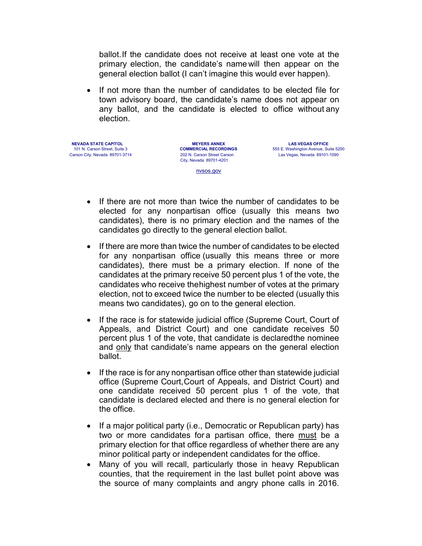ballot.If the candidate does not receive at least one vote at the primary election, the candidate's name will then appear on the general election ballot (I can't imagine this would ever happen).

• If not more than the number of candidates to be elected file for town advisory board, the candidate's name does not appear on any ballot, and the candidate is elected to office without any election.

**NEVADA STATE CAPITOL MEYERS ANNEX LAS VEGAS OFFICE**

202 N. Carson Street Carson City, Nevada 89701-4201

101 N. Carson Street, Suite 3 **COMMERCIAL RECORDINGS** 555 E. Washington Avenue, Suite 5200<br>Carson City. Nevada 89701-3714 202 N. Carson Street Carson 11 as Vegas. Nevada 89101-1090 Las Vegas, Nevada 89101-1090

nvsos.gov

- If there are not more than twice the number of candidates to be elected for any nonpartisan office (usually this means two candidates), there is no primary election and the names of the candidates go directly to the general election ballot.
- If there are more than twice the number of candidates to be elected for any nonpartisan office (usually this means three or more candidates), there must be a primary election. If none of the candidates at the primary receive 50 percent plus 1 of the vote, the candidates who receive thehighest number of votes at the primary election, not to exceed twice the number to be elected (usually this means two candidates), go on to the general election.
- If the race is for statewide judicial office (Supreme Court, Court of Appeals, and District Court) and one candidate receives 50 percent plus 1 of the vote, that candidate is declaredthe nominee and only that candidate's name appears on the general election ballot.
- If the race is for any nonpartisan office other than statewide judicial office (Supreme Court,Court of Appeals, and District Court) and one candidate received 50 percent plus 1 of the vote, that candidate is declared elected and there is no general election for the office.
- If a major political party (i.e., Democratic or Republican party) has two or more candidates for a partisan office, there must be a primary election for that office regardless of whether there are any minor political party or independent candidates for the office.
- Many of you will recall, particularly those in heavy Republican counties, that the requirement in the last bullet point above was the source of many complaints and angry phone calls in 2016.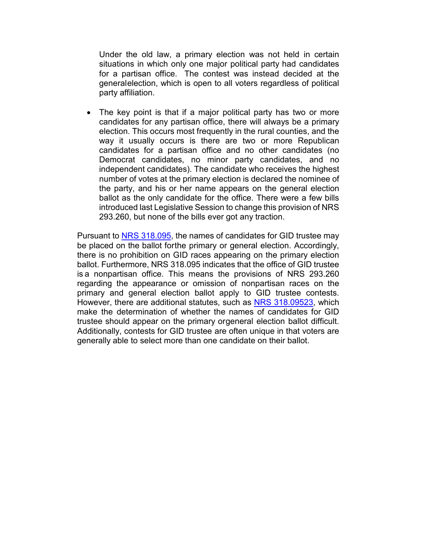Under the old law, a primary election was not held in certain situations in which only one major political party had candidates for a partisan office. The contest was instead decided at the generalelection, which is open to all voters regardless of political party affiliation.

• The key point is that if a major political party has two or more candidates for any partisan office, there will always be a primary election. This occurs most frequently in the rural counties, and the way it usually occurs is there are two or more Republican candidates for a partisan office and no other candidates (no Democrat candidates, no minor party candidates, and no independent candidates). The candidate who receives the highest number of votes at the primary election is declared the nominee of the party, and his or her name appears on the general election ballot as the only candidate for the office. There were a few bills introduced last Legislative Session to change this provision of NRS 293.260, but none of the bills ever got any traction.

Pursuant to NRS [318.095,](https://www.leg.state.nv.us/NRS/NRS-318.html#NRS318Sec095) the names of candidates for GID trustee may be placed on the ballot forthe primary or general election. Accordingly, there is no prohibition on GID races appearing on the primary election ballot. Furthermore, NRS 318.095 indicates that the office of GID trustee is a nonpartisan office. This means the provisions of NRS 293.260 regarding the appearance or omission of nonpartisan races on the primary and general election ballot apply to GID trustee contests. However, there are additional statutes, such as [NRS 318.09523,](https://www.leg.state.nv.us/NRS/NRS-318.html#NRS318Sec09523) which make the determination of whether the names of candidates for GID trustee should appear on the primary orgeneral election ballot difficult. Additionally, contests for GID trustee are often unique in that voters are generally able to select more than one candidate on their ballot.